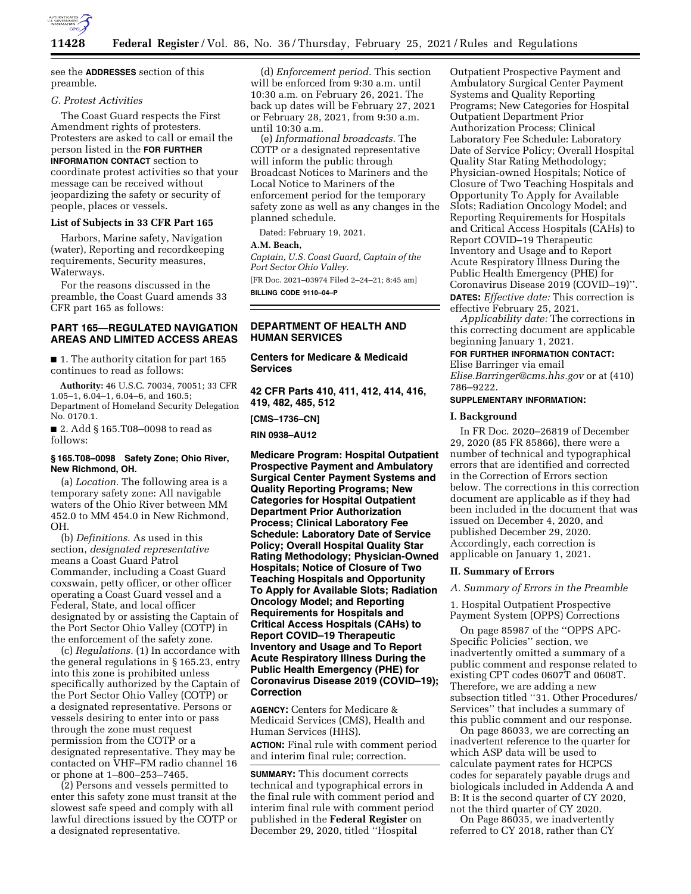

see the **ADDRESSES** section of this preamble.

### *G. Protest Activities*

The Coast Guard respects the First Amendment rights of protesters. Protesters are asked to call or email the person listed in the **FOR FURTHER INFORMATION CONTACT** section to coordinate protest activities so that your message can be received without jeopardizing the safety or security of people, places or vessels.

#### **List of Subjects in 33 CFR Part 165**

Harbors, Marine safety, Navigation (water), Reporting and recordkeeping requirements, Security measures, Waterways.

For the reasons discussed in the preamble, the Coast Guard amends 33 CFR part 165 as follows:

# **PART 165—REGULATED NAVIGATION AREAS AND LIMITED ACCESS AREAS**

■ 1. The authority citation for part 165 continues to read as follows:

**Authority:** 46 U.S.C. 70034, 70051; 33 CFR 1.05–1, 6.04–1, 6.04–6, and 160.5; Department of Homeland Security Delegation No. 0170.1.

■ 2. Add § 165.T08–0098 to read as follows:

# **§ 165.T08–0098 Safety Zone; Ohio River, New Richmond, OH.**

(a) *Location.* The following area is a temporary safety zone: All navigable waters of the Ohio River between MM 452.0 to MM 454.0 in New Richmond, OH.

(b) *Definitions.* As used in this section, *designated representative*  means a Coast Guard Patrol Commander, including a Coast Guard coxswain, petty officer, or other officer operating a Coast Guard vessel and a Federal, State, and local officer designated by or assisting the Captain of the Port Sector Ohio Valley (COTP) in the enforcement of the safety zone.

(c) *Regulations.* (1) In accordance with the general regulations in § 165.23, entry into this zone is prohibited unless specifically authorized by the Captain of the Port Sector Ohio Valley (COTP) or a designated representative. Persons or vessels desiring to enter into or pass through the zone must request permission from the COTP or a designated representative. They may be contacted on VHF–FM radio channel 16 or phone at 1–800–253–7465.

(2) Persons and vessels permitted to enter this safety zone must transit at the slowest safe speed and comply with all lawful directions issued by the COTP or a designated representative.

(d) *Enforcement period.* This section will be enforced from 9:30 a.m. until 10:30 a.m. on February 26, 2021. The back up dates will be February 27, 2021 or February 28, 2021, from 9:30 a.m. until 10:30 a.m.

(e) *Informational broadcasts.* The COTP or a designated representative will inform the public through Broadcast Notices to Mariners and the Local Notice to Mariners of the enforcement period for the temporary safety zone as well as any changes in the planned schedule.

Dated: February 19, 2021.

### **A.M. Beach,**

*Captain, U.S. Coast Guard, Captain of the Port Sector Ohio Valley.* 

[FR Doc. 2021–03974 Filed 2–24–21; 8:45 am] **BILLING CODE 9110–04–P** 

# **DEPARTMENT OF HEALTH AND HUMAN SERVICES**

**Centers for Medicare & Medicaid Services** 

**42 CFR Parts 410, 411, 412, 414, 416, 419, 482, 485, 512** 

**[CMS–1736–CN]** 

**RIN 0938–AU12** 

**Medicare Program: Hospital Outpatient Prospective Payment and Ambulatory Surgical Center Payment Systems and Quality Reporting Programs; New Categories for Hospital Outpatient Department Prior Authorization Process; Clinical Laboratory Fee Schedule: Laboratory Date of Service Policy; Overall Hospital Quality Star Rating Methodology; Physician-Owned Hospitals; Notice of Closure of Two Teaching Hospitals and Opportunity To Apply for Available Slots; Radiation Oncology Model; and Reporting Requirements for Hospitals and Critical Access Hospitals (CAHs) to Report COVID–19 Therapeutic Inventory and Usage and To Report Acute Respiratory Illness During the Public Health Emergency (PHE) for Coronavirus Disease 2019 (COVID–19); Correction** 

**AGENCY:** Centers for Medicare & Medicaid Services (CMS), Health and Human Services (HHS). **ACTION:** Final rule with comment period

and interim final rule; correction.

**SUMMARY:** This document corrects technical and typographical errors in the final rule with comment period and interim final rule with comment period published in the **Federal Register** on December 29, 2020, titled ''Hospital

Outpatient Prospective Payment and Ambulatory Surgical Center Payment Systems and Quality Reporting Programs; New Categories for Hospital Outpatient Department Prior Authorization Process; Clinical Laboratory Fee Schedule: Laboratory Date of Service Policy; Overall Hospital Quality Star Rating Methodology; Physician-owned Hospitals; Notice of Closure of Two Teaching Hospitals and Opportunity To Apply for Available Slots; Radiation Oncology Model; and Reporting Requirements for Hospitals and Critical Access Hospitals (CAHs) to Report COVID–19 Therapeutic Inventory and Usage and to Report Acute Respiratory Illness During the Public Health Emergency (PHE) for Coronavirus Disease 2019 (COVID–19)''. **DATES:** *Effective date:* This correction is effective February 25, 2021.

*Applicability date:* The corrections in this correcting document are applicable beginning January 1, 2021.

#### **FOR FURTHER INFORMATION CONTACT:**

Elise Barringer via email

*[Elise.Barringer@cms.hhs.gov](mailto:Elise.Barringer@cms.hhs.gov)* or at (410) 786–9222.

## **SUPPLEMENTARY INFORMATION:**

### **I. Background**

In FR Doc. 2020–26819 of December 29, 2020 (85 FR 85866), there were a number of technical and typographical errors that are identified and corrected in the Correction of Errors section below. The corrections in this correction document are applicable as if they had been included in the document that was issued on December 4, 2020, and published December 29, 2020. Accordingly, each correction is applicable on January 1, 2021.

#### **II. Summary of Errors**

*A. Summary of Errors in the Preamble* 

1. Hospital Outpatient Prospective Payment System (OPPS) Corrections

On page 85987 of the ''OPPS APC-Specific Policies'' section, we inadvertently omitted a summary of a public comment and response related to existing CPT codes 0607T and 0608T. Therefore, we are adding a new subsection titled ''31. Other Procedures/ Services'' that includes a summary of this public comment and our response.

On page 86033, we are correcting an inadvertent reference to the quarter for which ASP data will be used to calculate payment rates for HCPCS codes for separately payable drugs and biologicals included in Addenda A and B: It is the second quarter of CY 2020, not the third quarter of CY 2020.

On Page 86035, we inadvertently referred to CY 2018, rather than CY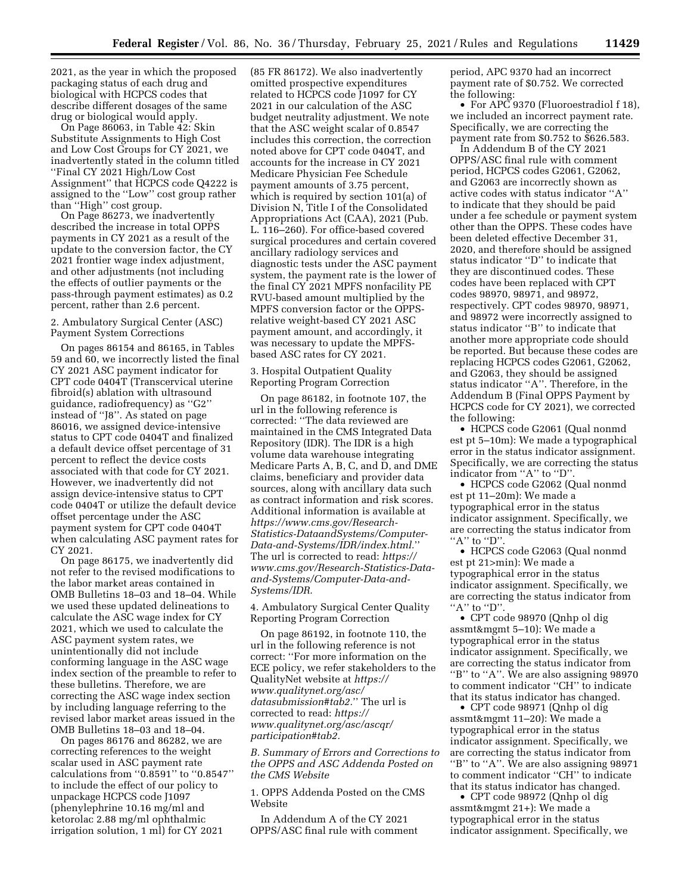2021, as the year in which the proposed packaging status of each drug and biological with HCPCS codes that describe different dosages of the same drug or biological would apply.

On Page 86063, in Table 42: Skin Substitute Assignments to High Cost and Low Cost Groups for CY 2021, we inadvertently stated in the column titled ''Final CY 2021 High/Low Cost Assignment'' that HCPCS code Q4222 is assigned to the ''Low'' cost group rather than ''High'' cost group.

On Page 86273, we inadvertently described the increase in total OPPS payments in CY 2021 as a result of the update to the conversion factor, the CY 2021 frontier wage index adjustment, and other adjustments (not including the effects of outlier payments or the pass-through payment estimates) as 0.2 percent, rather than 2.6 percent.

# 2. Ambulatory Surgical Center (ASC) Payment System Corrections

On pages 86154 and 86165, in Tables 59 and 60, we incorrectly listed the final CY 2021 ASC payment indicator for CPT code 0404T (Transcervical uterine fibroid(s) ablation with ultrasound guidance, radiofrequency) as ''G2'' instead of ''J8''. As stated on page 86016, we assigned device-intensive status to CPT code 0404T and finalized a default device offset percentage of 31 percent to reflect the device costs associated with that code for CY 2021. However, we inadvertently did not assign device-intensive status to CPT code 0404T or utilize the default device offset percentage under the ASC payment system for CPT code 0404T when calculating ASC payment rates for CY 2021.

On page 86175, we inadvertently did not refer to the revised modifications to the labor market areas contained in OMB Bulletins 18–03 and 18–04. While we used these updated delineations to calculate the ASC wage index for CY 2021, which we used to calculate the ASC payment system rates, we unintentionally did not include conforming language in the ASC wage index section of the preamble to refer to these bulletins. Therefore, we are correcting the ASC wage index section by including language referring to the revised labor market areas issued in the OMB Bulletins 18–03 and 18–04.

On pages 86176 and 86282, we are correcting references to the weight scalar used in ASC payment rate calculations from ''0.8591'' to ''0.8547'' to include the effect of our policy to unpackage HCPCS code J1097 (phenylephrine 10.16 mg/ml and ketorolac 2.88 mg/ml ophthalmic irrigation solution, 1 ml) for CY 2021

(85 FR 86172). We also inadvertently omitted prospective expenditures related to HCPCS code J1097 for CY 2021 in our calculation of the ASC budget neutrality adjustment. We note that the ASC weight scalar of 0.8547 includes this correction, the correction noted above for CPT code 0404T, and accounts for the increase in CY 2021 Medicare Physician Fee Schedule payment amounts of 3.75 percent, which is required by section 101(a) of Division N, Title I of the Consolidated Appropriations Act (CAA), 2021 (Pub. L. 116–260). For office-based covered surgical procedures and certain covered ancillary radiology services and diagnostic tests under the ASC payment system, the payment rate is the lower of the final CY 2021 MPFS nonfacility PE RVU-based amount multiplied by the MPFS conversion factor or the OPPSrelative weight-based CY 2021 ASC payment amount, and accordingly, it was necessary to update the MPFSbased ASC rates for CY 2021.

3. Hospital Outpatient Quality Reporting Program Correction

On page 86182, in footnote 107, the url in the following reference is corrected: ''The data reviewed are maintained in the CMS Integrated Data Repository (IDR). The IDR is a high volume data warehouse integrating Medicare Parts A, B, C, and D, and DME claims, beneficiary and provider data sources, along with ancillary data such as contract information and risk scores. Additional information is available at *[https://www.cms.gov/Research-](https://www.cms.gov/Research-Statistics-DataandSystems/Computer-Data-and-Systems/IDR/index.html.)[Statistics-DataandSystems/Computer-](https://www.cms.gov/Research-Statistics-DataandSystems/Computer-Data-and-Systems/IDR/index.html.)[Data-and-Systems/IDR/index.html.](https://www.cms.gov/Research-Statistics-DataandSystems/Computer-Data-and-Systems/IDR/index.html.)*'' The url is corrected to read: *[https://](https://www.cms.gov/Research-Statistics-Data-and-Systems/Computer-Data-and-Systems/IDR) [www.cms.gov/Research-Statistics-Data](https://www.cms.gov/Research-Statistics-Data-and-Systems/Computer-Data-and-Systems/IDR)[and-Systems/Computer-Data-and-](https://www.cms.gov/Research-Statistics-Data-and-Systems/Computer-Data-and-Systems/IDR)[Systems/IDR.](https://www.cms.gov/Research-Statistics-Data-and-Systems/Computer-Data-and-Systems/IDR)* 

4. Ambulatory Surgical Center Quality Reporting Program Correction

On page 86192, in footnote 110, the url in the following reference is not correct: ''For more information on the ECE policy, we refer stakeholders to the QualityNet website at *[https://](https://www.qualitynet.org/asc/datasubmission#tab2.) [www.qualitynet.org/asc/](https://www.qualitynet.org/asc/datasubmission#tab2.)  [datasubmission#tab2.](https://www.qualitynet.org/asc/datasubmission#tab2.)*'' The url is corrected to read: *[https://](https://www.qualitynet.org/asc/ascqr/participation#tab2) [www.qualitynet.org/asc/ascqr/](https://www.qualitynet.org/asc/ascqr/participation#tab2) [participation#tab2.](https://www.qualitynet.org/asc/ascqr/participation#tab2)* 

*B. Summary of Errors and Corrections to the OPPS and ASC Addenda Posted on the CMS Website* 

1. OPPS Addenda Posted on the CMS Website

In Addendum A of the CY 2021 OPPS/ASC final rule with comment period, APC 9370 had an incorrect payment rate of \$0.752. We corrected the following:

• For APC 9370 (Fluoroestradiol f 18), we included an incorrect payment rate. Specifically, we are correcting the payment rate from \$0.752 to \$626.583.

In Addendum B of the CY 2021 OPPS/ASC final rule with comment period, HCPCS codes G2061, G2062, and G2063 are incorrectly shown as active codes with status indicator ''A'' to indicate that they should be paid under a fee schedule or payment system other than the OPPS. These codes have been deleted effective December 31, 2020, and therefore should be assigned status indicator ''D'' to indicate that they are discontinued codes. These codes have been replaced with CPT codes 98970, 98971, and 98972, respectively. CPT codes 98970, 98971, and 98972 were incorrectly assigned to status indicator ''B'' to indicate that another more appropriate code should be reported. But because these codes are replacing HCPCS codes G2061, G2062, and G2063, they should be assigned status indicator ''A''. Therefore, in the Addendum B (Final OPPS Payment by HCPCS code for CY 2021), we corrected the following:

• HCPCS code G2061 (Qual nonmd est pt 5–10m): We made a typographical error in the status indicator assignment. Specifically, we are correcting the status indicator from "A" to "D"

• HCPCS code G2062 (Qual nonmd est pt 11–20m): We made a typographical error in the status indicator assignment. Specifically, we are correcting the status indicator from "A" to "D".

• HCPCS code G2063 (Qual nonmd est pt 21>min): We made a typographical error in the status indicator assignment. Specifically, we are correcting the status indicator from "A" to "D".

• CPT code 98970 (Qnhp ol dig assmt&mgmt 5–10): We made a typographical error in the status indicator assignment. Specifically, we are correcting the status indicator from "B" to "A". We are also assigning 98970 to comment indicator ''CH'' to indicate that its status indicator has changed.

• CPT code 98971 (Qnhp ol dig assmt&mgmt 11–20): We made a typographical error in the status indicator assignment. Specifically, we are correcting the status indicator from "B" to "A". We are also assigning 98971 to comment indicator ''CH'' to indicate that its status indicator has changed.

• CPT code 98972 (Qnhp ol dig assmt&mgmt 21+): We made a typographical error in the status indicator assignment. Specifically, we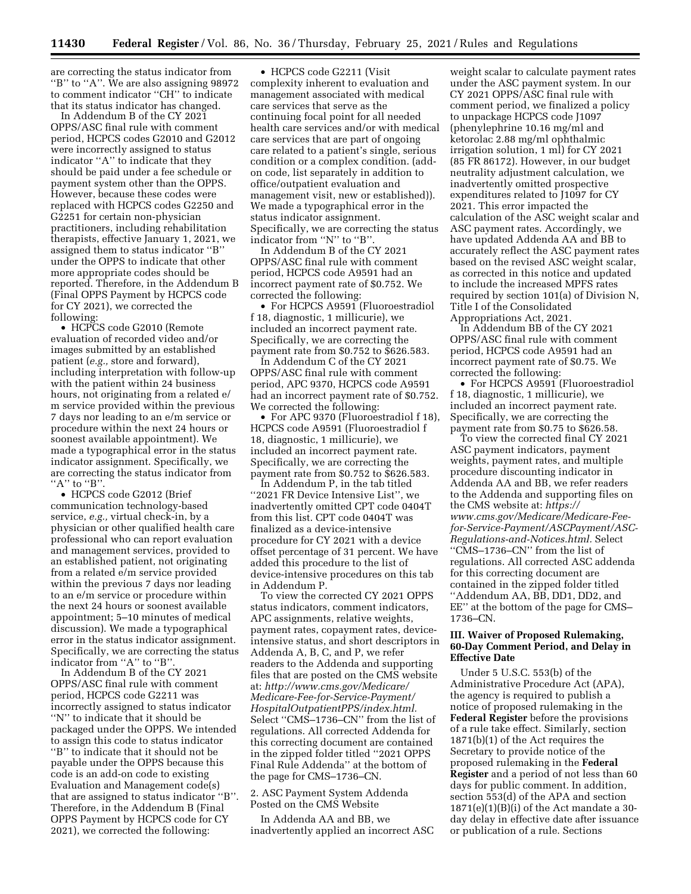are correcting the status indicator from "B" to "A". We are also assigning 98972 to comment indicator ''CH'' to indicate that its status indicator has changed.

In Addendum B of the CY 2021 OPPS/ASC final rule with comment period, HCPCS codes G2010 and G2012 were incorrectly assigned to status indicator ''A'' to indicate that they should be paid under a fee schedule or payment system other than the OPPS. However, because these codes were replaced with HCPCS codes G2250 and G2251 for certain non-physician practitioners, including rehabilitation therapists, effective January 1, 2021, we assigned them to status indicator ''B'' under the OPPS to indicate that other more appropriate codes should be reported. Therefore, in the Addendum B (Final OPPS Payment by HCPCS code for CY 2021), we corrected the following:

• HCPCS code G2010 (Remote evaluation of recorded video and/or images submitted by an established patient (*e.g.,* store and forward), including interpretation with follow-up with the patient within 24 business hours, not originating from a related e/ m service provided within the previous 7 days nor leading to an e/m service or procedure within the next 24 hours or soonest available appointment). We made a typographical error in the status indicator assignment. Specifically, we are correcting the status indicator from  $"A"$  to  $"B"$ 

• HCPCS code G2012 (Brief communication technology-based service, *e.g.,* virtual check-in, by a physician or other qualified health care professional who can report evaluation and management services, provided to an established patient, not originating from a related e/m service provided within the previous 7 days nor leading to an e/m service or procedure within the next 24 hours or soonest available appointment; 5–10 minutes of medical discussion). We made a typographical error in the status indicator assignment. Specifically, we are correcting the status indicator from "A" to "B".

In Addendum B of the CY 2021 OPPS/ASC final rule with comment period, HCPCS code G2211 was incorrectly assigned to status indicator ''N'' to indicate that it should be packaged under the OPPS. We intended to assign this code to status indicator ''B'' to indicate that it should not be payable under the OPPS because this code is an add-on code to existing Evaluation and Management code(s) that are assigned to status indicator ''B''. Therefore, in the Addendum B (Final OPPS Payment by HCPCS code for CY 2021), we corrected the following:

• HCPCS code G2211 (Visit complexity inherent to evaluation and management associated with medical care services that serve as the continuing focal point for all needed health care services and/or with medical care services that are part of ongoing care related to a patient's single, serious condition or a complex condition. (addon code, list separately in addition to office/outpatient evaluation and management visit, new or established)). We made a typographical error in the status indicator assignment. Specifically, we are correcting the status indicator from ''N'' to ''B''.

In Addendum B of the CY 2021 OPPS/ASC final rule with comment period, HCPCS code A9591 had an incorrect payment rate of \$0.752. We corrected the following:

• For HCPCS A9591 (Fluoroestradiol f 18, diagnostic, 1 millicurie), we included an incorrect payment rate. Specifically, we are correcting the payment rate from \$0.752 to \$626.583.

In Addendum C of the CY 2021 OPPS/ASC final rule with comment period, APC 9370, HCPCS code A9591 had an incorrect payment rate of \$0.752. We corrected the following:

• For APC 9370 (Fluoroestradiol f 18), HCPCS code A9591 (Fluoroestradiol f 18, diagnostic, 1 millicurie), we included an incorrect payment rate. Specifically, we are correcting the payment rate from \$0.752 to \$626.583.

In Addendum P, in the tab titled ''2021 FR Device Intensive List'', we inadvertently omitted CPT code 0404T from this list. CPT code 0404T was finalized as a device-intensive procedure for CY 2021 with a device offset percentage of 31 percent. We have added this procedure to the list of device-intensive procedures on this tab in Addendum P.

To view the corrected CY 2021 OPPS status indicators, comment indicators, APC assignments, relative weights, payment rates, copayment rates, deviceintensive status, and short descriptors in Addenda A, B, C, and P, we refer readers to the Addenda and supporting files that are posted on the CMS website at: *[http://www.cms.gov/Medicare/](http://www.cms.gov/Medicare/Medicare-Fee-for-Service-Payment/HospitalOutpatientPPS/index.html) [Medicare-Fee-for-Service-Payment/](http://www.cms.gov/Medicare/Medicare-Fee-for-Service-Payment/HospitalOutpatientPPS/index.html)  [HospitalOutpatientPPS/index.html.](http://www.cms.gov/Medicare/Medicare-Fee-for-Service-Payment/HospitalOutpatientPPS/index.html)*  Select ''CMS–1736–CN'' from the list of regulations. All corrected Addenda for this correcting document are contained in the zipped folder titled ''2021 OPPS Final Rule Addenda'' at the bottom of the page for CMS–1736–CN.

# 2. ASC Payment System Addenda Posted on the CMS Website

In Addenda AA and BB, we inadvertently applied an incorrect ASC

weight scalar to calculate payment rates under the ASC payment system. In our CY 2021 OPPS/ASC final rule with comment period, we finalized a policy to unpackage HCPCS code J1097 (phenylephrine 10.16 mg/ml and ketorolac 2.88 mg/ml ophthalmic irrigation solution, 1 ml) for CY 2021 (85 FR 86172). However, in our budget neutrality adjustment calculation, we inadvertently omitted prospective expenditures related to J1097 for CY 2021. This error impacted the calculation of the ASC weight scalar and ASC payment rates. Accordingly, we have updated Addenda AA and BB to accurately reflect the ASC payment rates based on the revised ASC weight scalar, as corrected in this notice and updated to include the increased MPFS rates required by section 101(a) of Division N, Title I of the Consolidated Appropriations Act, 2021.

In Addendum BB of the CY 2021 OPPS/ASC final rule with comment period, HCPCS code A9591 had an incorrect payment rate of \$0.75. We corrected the following:

• For HCPCS A9591 (Fluoroestradiol f 18, diagnostic, 1 millicurie), we included an incorrect payment rate. Specifically, we are correcting the payment rate from \$0.75 to \$626.58.

To view the corrected final CY 2021 ASC payment indicators, payment weights, payment rates, and multiple procedure discounting indicator in Addenda AA and BB, we refer readers to the Addenda and supporting files on the CMS website at: *[https://](https://www.cms.gov/Medicare/Medicare-Feefor-Service-Payment/ASCPayment/ASC-Regulations-and-Notices.html) [www.cms.gov/Medicare/Medicare-Fee](https://www.cms.gov/Medicare/Medicare-Feefor-Service-Payment/ASCPayment/ASC-Regulations-and-Notices.html)[for-Service-Payment/ASCPayment/ASC-](https://www.cms.gov/Medicare/Medicare-Feefor-Service-Payment/ASCPayment/ASC-Regulations-and-Notices.html)[Regulations-and-Notices.html.](https://www.cms.gov/Medicare/Medicare-Feefor-Service-Payment/ASCPayment/ASC-Regulations-and-Notices.html)* Select ''CMS–1736–CN'' from the list of regulations. All corrected ASC addenda for this correcting document are contained in the zipped folder titled ''Addendum AA, BB, DD1, DD2, and EE'' at the bottom of the page for CMS– 1736–CN.

# **III. Waiver of Proposed Rulemaking, 60-Day Comment Period, and Delay in Effective Date**

Under 5 U.S.C. 553(b) of the Administrative Procedure Act (APA), the agency is required to publish a notice of proposed rulemaking in the **Federal Register** before the provisions of a rule take effect. Similarly, section 1871(b)(1) of the Act requires the Secretary to provide notice of the proposed rulemaking in the **Federal Register** and a period of not less than 60 days for public comment. In addition, section 553(d) of the APA and section  $1871(e)(1)(B)(i)$  of the Act mandate a 30day delay in effective date after issuance or publication of a rule. Sections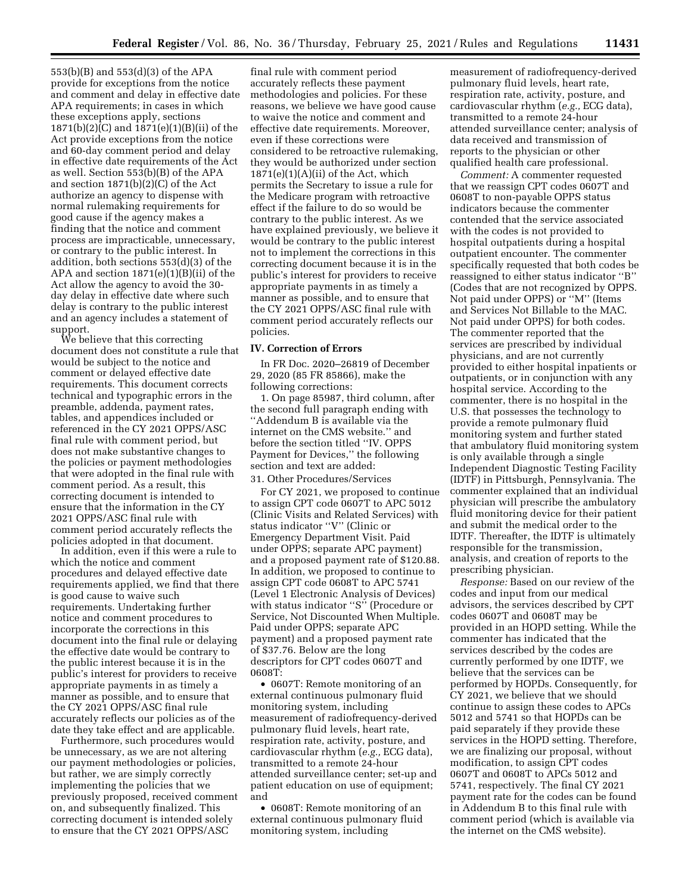553(b)(B) and 553(d)(3) of the APA provide for exceptions from the notice and comment and delay in effective date APA requirements; in cases in which these exceptions apply, sections 1871(b)(2)(C) and 1871(e)(1)(B)(ii) of the Act provide exceptions from the notice and 60-day comment period and delay in effective date requirements of the Act as well. Section 553(b)(B) of the APA and section 1871(b)(2)(C) of the Act authorize an agency to dispense with normal rulemaking requirements for good cause if the agency makes a finding that the notice and comment process are impracticable, unnecessary, or contrary to the public interest. In addition, both sections 553(d)(3) of the APA and section  $1871(e)(1)(B)(ii)$  of the Act allow the agency to avoid the 30 day delay in effective date where such delay is contrary to the public interest and an agency includes a statement of support.

We believe that this correcting document does not constitute a rule that would be subject to the notice and comment or delayed effective date requirements. This document corrects technical and typographic errors in the preamble, addenda, payment rates, tables, and appendices included or referenced in the CY 2021 OPPS/ASC final rule with comment period, but does not make substantive changes to the policies or payment methodologies that were adopted in the final rule with comment period. As a result, this correcting document is intended to ensure that the information in the CY 2021 OPPS/ASC final rule with comment period accurately reflects the policies adopted in that document.

In addition, even if this were a rule to which the notice and comment procedures and delayed effective date requirements applied, we find that there is good cause to waive such requirements. Undertaking further notice and comment procedures to incorporate the corrections in this document into the final rule or delaying the effective date would be contrary to the public interest because it is in the public's interest for providers to receive appropriate payments in as timely a manner as possible, and to ensure that the CY 2021 OPPS/ASC final rule accurately reflects our policies as of the date they take effect and are applicable.

Furthermore, such procedures would be unnecessary, as we are not altering our payment methodologies or policies, but rather, we are simply correctly implementing the policies that we previously proposed, received comment on, and subsequently finalized. This correcting document is intended solely to ensure that the CY 2021 OPPS/ASC

final rule with comment period accurately reflects these payment methodologies and policies. For these reasons, we believe we have good cause to waive the notice and comment and effective date requirements. Moreover, even if these corrections were considered to be retroactive rulemaking, they would be authorized under section  $1871(e)(1)(A)(ii)$  of the Act, which permits the Secretary to issue a rule for the Medicare program with retroactive effect if the failure to do so would be contrary to the public interest. As we have explained previously, we believe it would be contrary to the public interest not to implement the corrections in this correcting document because it is in the public's interest for providers to receive appropriate payments in as timely a manner as possible, and to ensure that the CY 2021 OPPS/ASC final rule with comment period accurately reflects our policies.

#### **IV. Correction of Errors**

In FR Doc. 2020–26819 of December 29, 2020 (85 FR 85866), make the following corrections:

1. On page 85987, third column, after the second full paragraph ending with ''Addendum B is available via the internet on the CMS website.'' and before the section titled ''IV. OPPS Payment for Devices,'' the following section and text are added:

# 31. Other Procedures/Services

For CY 2021, we proposed to continue to assign CPT code 0607T to APC 5012 (Clinic Visits and Related Services) with status indicator ''V'' (Clinic or Emergency Department Visit. Paid under OPPS; separate APC payment) and a proposed payment rate of \$120.88. In addition, we proposed to continue to assign CPT code 0608T to APC 5741 (Level 1 Electronic Analysis of Devices) with status indicator "S" (Procedure or Service, Not Discounted When Multiple. Paid under OPPS; separate APC payment) and a proposed payment rate of \$37.76. Below are the long descriptors for CPT codes 0607T and 0608T:

• 0607T: Remote monitoring of an external continuous pulmonary fluid monitoring system, including measurement of radiofrequency-derived pulmonary fluid levels, heart rate, respiration rate, activity, posture, and cardiovascular rhythm (*e.g.,* ECG data), transmitted to a remote 24-hour attended surveillance center; set-up and patient education on use of equipment; and

• 0608T: Remote monitoring of an external continuous pulmonary fluid monitoring system, including

measurement of radiofrequency-derived pulmonary fluid levels, heart rate, respiration rate, activity, posture, and cardiovascular rhythm (*e.g.,* ECG data), transmitted to a remote 24-hour attended surveillance center; analysis of data received and transmission of reports to the physician or other qualified health care professional.

*Comment:* A commenter requested that we reassign CPT codes 0607T and 0608T to non-payable OPPS status indicators because the commenter contended that the service associated with the codes is not provided to hospital outpatients during a hospital outpatient encounter. The commenter specifically requested that both codes be reassigned to either status indicator ''B'' (Codes that are not recognized by OPPS. Not paid under OPPS) or ''M'' (Items and Services Not Billable to the MAC. Not paid under OPPS) for both codes. The commenter reported that the services are prescribed by individual physicians, and are not currently provided to either hospital inpatients or outpatients, or in conjunction with any hospital service. According to the commenter, there is no hospital in the U.S. that possesses the technology to provide a remote pulmonary fluid monitoring system and further stated that ambulatory fluid monitoring system is only available through a single Independent Diagnostic Testing Facility (IDTF) in Pittsburgh, Pennsylvania. The commenter explained that an individual physician will prescribe the ambulatory fluid monitoring device for their patient and submit the medical order to the IDTF. Thereafter, the IDTF is ultimately responsible for the transmission, analysis, and creation of reports to the prescribing physician.

*Response:* Based on our review of the codes and input from our medical advisors, the services described by CPT codes 0607T and 0608T may be provided in an HOPD setting. While the commenter has indicated that the services described by the codes are currently performed by one IDTF, we believe that the services can be performed by HOPDs. Consequently, for CY 2021, we believe that we should continue to assign these codes to APCs 5012 and 5741 so that HOPDs can be paid separately if they provide these services in the HOPD setting. Therefore, we are finalizing our proposal, without modification, to assign CPT codes 0607T and 0608T to APCs 5012 and 5741, respectively. The final CY 2021 payment rate for the codes can be found in Addendum B to this final rule with comment period (which is available via the internet on the CMS website).